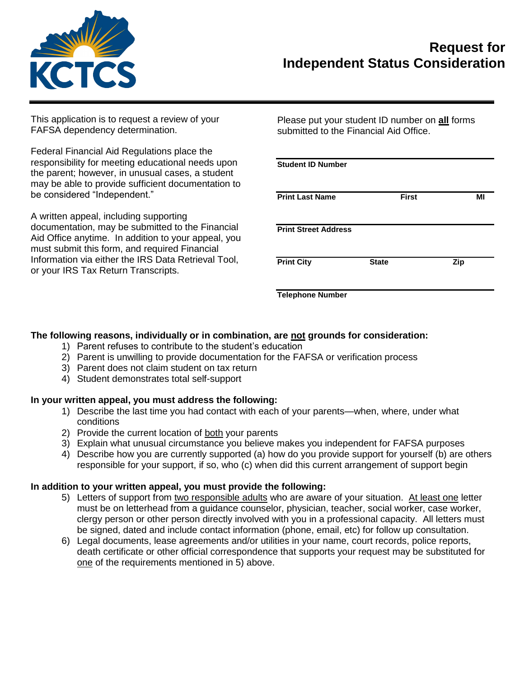

## **Request for Independent Status Consideration**

This application is to request a review of your FAFSA dependency determination.

Federal Financial Aid Regulations place the responsibility for meeting educational needs upon the parent; however, in unusual cases, a student may be able to provide sufficient documentation to be considered "Independent."

A written appeal, including supporting documentation, may be submitted to the Financial Aid Office anytime. In addition to your appeal, you must submit this form, and required Financial Information via either the IRS Data Retrieval Tool, or your IRS Tax Return Transcripts.

Please put your student ID number on **all** forms submitted to the Financial Aid Office.

| <b>Student ID Number</b>    |              |              |     |    |
|-----------------------------|--------------|--------------|-----|----|
| <b>Print Last Name</b>      |              | <b>First</b> |     | ΜI |
| <b>Print Street Address</b> |              |              |     |    |
| <b>Print City</b>           | <b>State</b> |              | Zip |    |
| <b>Telephone Number</b>     |              |              |     |    |

## **The following reasons, individually or in combination, are not grounds for consideration:**

- 1) Parent refuses to contribute to the student's education
- 2) Parent is unwilling to provide documentation for the FAFSA or verification process
- 3) Parent does not claim student on tax return
- 4) Student demonstrates total self-support

## **In your written appeal, you must address the following:**

- 1) Describe the last time you had contact with each of your parents—when, where, under what conditions
- 2) Provide the current location of both your parents
- 3) Explain what unusual circumstance you believe makes you independent for FAFSA purposes
- 4) Describe how you are currently supported (a) how do you provide support for yourself (b) are others responsible for your support, if so, who (c) when did this current arrangement of support begin

## **In addition to your written appeal, you must provide the following:**

- 5) Letters of support from two responsible adults who are aware of your situation. At least one letter must be on letterhead from a guidance counselor, physician, teacher, social worker, case worker, clergy person or other person directly involved with you in a professional capacity. All letters must be signed, dated and include contact information (phone, email, etc) for follow up consultation.
- 6) Legal documents, lease agreements and/or utilities in your name, court records, police reports, death certificate or other official correspondence that supports your request may be substituted for one of the requirements mentioned in 5) above.